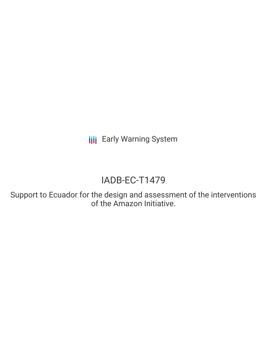**III** Early Warning System

# IADB-EC-T1479

Support to Ecuador for the design and assessment of the interventions of the Amazon Initiative.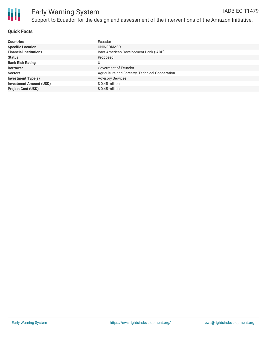

## **Quick Facts**

| <b>Countries</b>               | Ecuador                                         |
|--------------------------------|-------------------------------------------------|
| <b>Specific Location</b>       | UNINFORMED                                      |
| <b>Financial Institutions</b>  | Inter-American Development Bank (IADB)          |
| <b>Status</b>                  | Proposed                                        |
| <b>Bank Risk Rating</b>        |                                                 |
| <b>Borrower</b>                | Goverment of Ecuador                            |
| <b>Sectors</b>                 | Agriculture and Forestry, Technical Cooperation |
| <b>Investment Type(s)</b>      | <b>Advisory Services</b>                        |
| <b>Investment Amount (USD)</b> | $$0.45$ million                                 |
| <b>Project Cost (USD)</b>      | \$0.45 million                                  |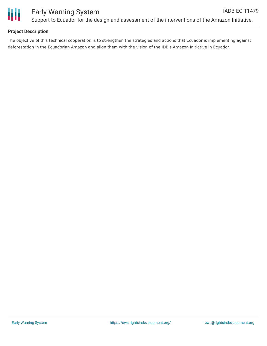

# **Project Description**

The objective of this technical cooperation is to strengthen the strategies and actions that Ecuador is implementing against deforestation in the Ecuadorian Amazon and align them with the vision of the IDB's Amazon Initiative in Ecuador.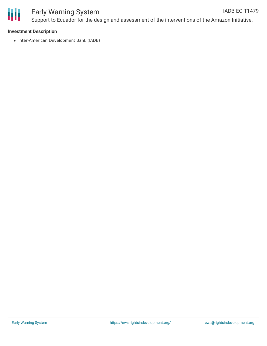

#### Early Warning System Support to Ecuador for the design and assessment of the interventions of the Amazon Initiative. IADB-EC-T1479

### **Investment Description**

• Inter-American Development Bank (IADB)